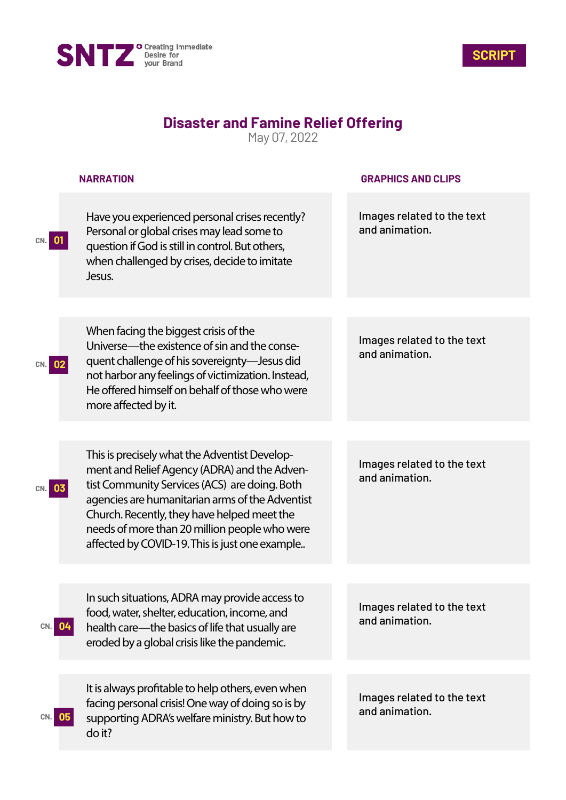



## **Disaster and Famine Relief Offering**

May 07, 2022

|           | <b>NARRATION</b>                                                                                                                                                                                                                                                                                                                                    | <b>GRAPHICS AND CLIPS</b>                    |
|-----------|-----------------------------------------------------------------------------------------------------------------------------------------------------------------------------------------------------------------------------------------------------------------------------------------------------------------------------------------------------|----------------------------------------------|
|           | Have you experienced personal crises recently?<br>Personal or global crises may lead some to<br>question if God is still in control. But others,<br>when challenged by crises, decide to imitate<br>Jesus.                                                                                                                                          | Images related to the text<br>and animation. |
|           |                                                                                                                                                                                                                                                                                                                                                     |                                              |
|           | When facing the biggest crisis of the<br>Universe—the existence of sin and the conse-<br>quent challenge of his sovereignty-Jesus did<br>not harbor any feelings of victimization. Instead,<br>He offered himself on behalf of those who were<br>more affected by it.                                                                               | Images related to the text<br>and animation. |
|           |                                                                                                                                                                                                                                                                                                                                                     |                                              |
|           | This is precisely what the Adventist Develop-<br>ment and Relief Agency (ADRA) and the Adven-<br>tist Community Services (ACS) are doing. Both<br>agencies are humanitarian arms of the Adventist<br>Church. Recently, they have helped meet the<br>needs of more than 20 million people who were<br>affected by COVID-19. This is just one example | Images related to the text<br>and animation. |
|           |                                                                                                                                                                                                                                                                                                                                                     |                                              |
| 04<br>CN. | In such situations, ADRA may provide access to<br>food, water, shelter, education, income, and<br>health care—the basics of life that usually are<br>eroded by a global crisis like the pandemic.                                                                                                                                                   | Images related to the text<br>and animation. |
|           | It is always profitable to help others, even when                                                                                                                                                                                                                                                                                                   |                                              |
| 05<br>CN. | facing personal crisis! One way of doing so is by<br>supporting ADRA's welfare ministry. But how to<br>do it?                                                                                                                                                                                                                                       | Images related to the text<br>and animation. |